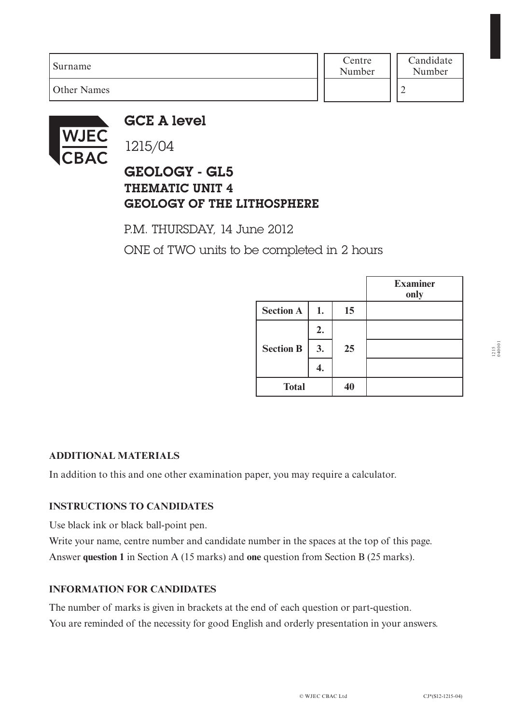Surname

Centre Number

2

Candidate Number

Other Names



GCE A level

1215/04

# GEOLOGY - GL5 THEMATIC UNIT 4 GEOLOGY OF THE LITHOSPHERE

P.M. THURSDAY, 14 June 2012

ONE of TWO units to be completed in 2 hours

|                  |    |    | <b>Examiner</b><br>only |
|------------------|----|----|-------------------------|
| <b>Section A</b> | 1. | 15 |                         |
|                  | 2. |    |                         |
| <b>Section B</b> | 3. | 25 |                         |
|                  | 4. |    |                         |
| <b>Total</b>     |    | 40 |                         |

## **ADDITIONAL MATERIALS**

In addition to this and one other examination paper, you may require a calculator.

## **INSTRUCTIONS TO CANDIDATES**

Use black ink or black ball-point pen.

Write your name, centre number and candidate number in the spaces at the top of this page. Answer **question 1** in Section A (15 marks) and **one** question from Section B (25 marks).

## **INFORMATION FOR CANDIDATES**

The number of marks is given in brackets at the end of each question or part-question. You are reminded of the necessity for good English and orderly presentation in your answers.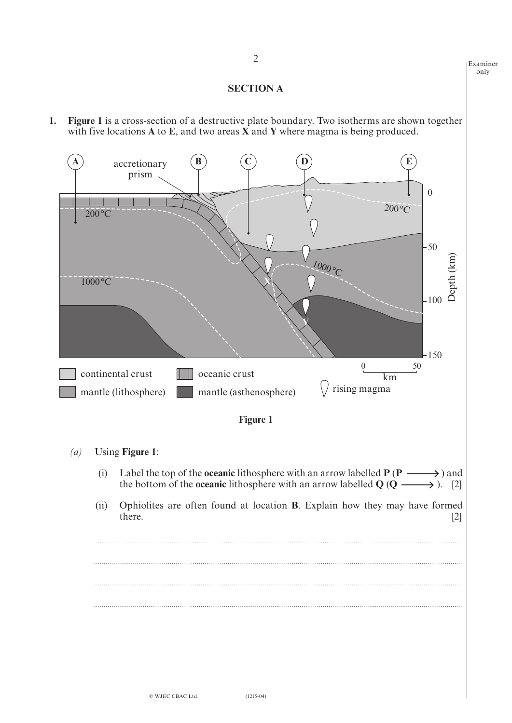### **SECTION A**

**1. Figure 1** is a cross-section of a destructive plate boundary. Two isotherms are shown together with five locations **A** to **E**, and two areas **X** and **Y** where magma is being produced.





- *(a)* Using **Figure 1**:
	- (i) Label the top of the **oceanic** lithosphere with an arrow labelled  $P(P \longrightarrow)$  and the bottom of the **oceanic** lithosphere with an arrow labelled  $Q(Q \longrightarrow)$ . [2]
- (ii) Ophiolites are often found at location **B**. Explain how they may have formed there. [2]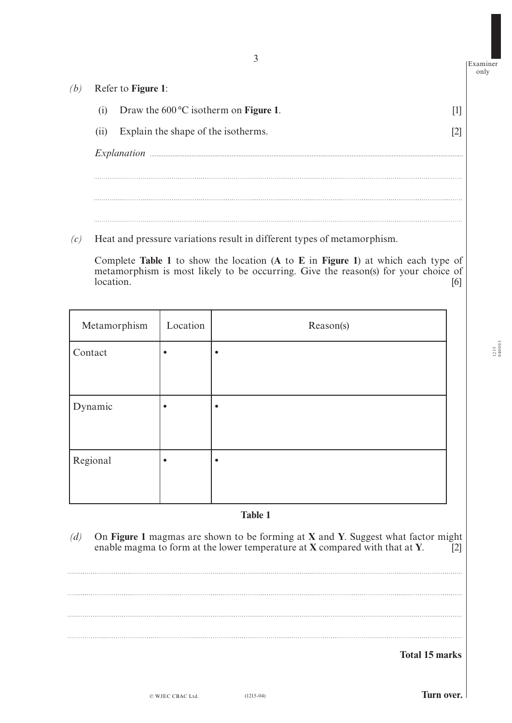*(b)* Refer to **Figure 1**: (i) Draw the  $600^{\circ}$ C isotherm on **Figure 1**. [1] (ii) Explain the shape of the isotherms. [2] *Explanation* **....................................................................................................................................................................................**

3 Examiner

*(c)* Heat and pressure variations result in different types of metamorphism.

 Complete **Table 1** to show the location (**A** to **E** in **Figure 1**) at which each type of metamorphism is most likely to be occurring. Give the reason(s) for your choice of location. location. [6]

| Metamorphism | Location  | Reason(s) |
|--------------|-----------|-----------|
| Contact      | $\bullet$ | $\bullet$ |
|              |           |           |
| Dynamic      | $\bullet$ | $\bullet$ |
|              |           |           |
| Regional     | $\bullet$ | $\bullet$ |
|              |           |           |



*(d)* On **Figure 1** magmas are shown to be forming at **X** and **Y**. Suggest what factor might enable magma to form at the lower temperature at **X** compared with that at **Y**. [2]

## **Total 15 marks**

only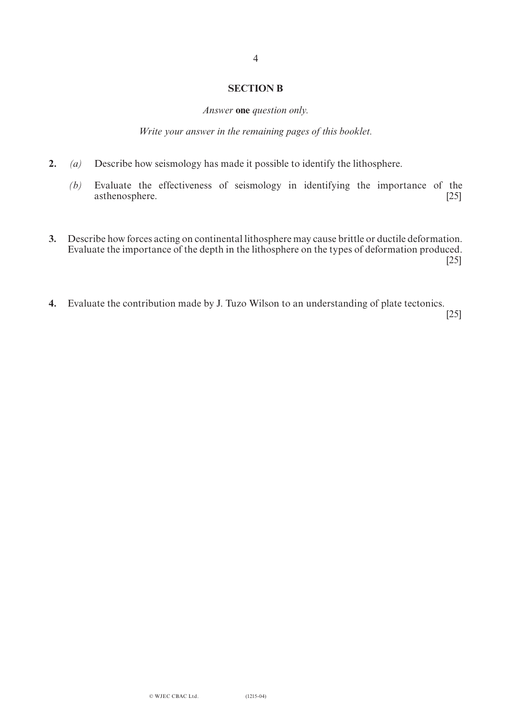#### **SECTION B**

4

#### *Answer* **one** *question only.*

*Write your answer in the remaining pages of this booklet.*

- **2.** *(a)* Describe how seismology has made it possible to identify the lithosphere.
	- *(b)* Evaluate the effectiveness of seismology in identifying the importance of the asthenosphere.
- **3.** Describe how forces acting on continental lithosphere may cause brittle or ductile deformation. Evaluate the importance of the depth in the lithosphere on the types of deformation produced. [25]
- **4.** Evaluate the contribution made by J. Tuzo Wilson to an understanding of plate tectonics.

[25]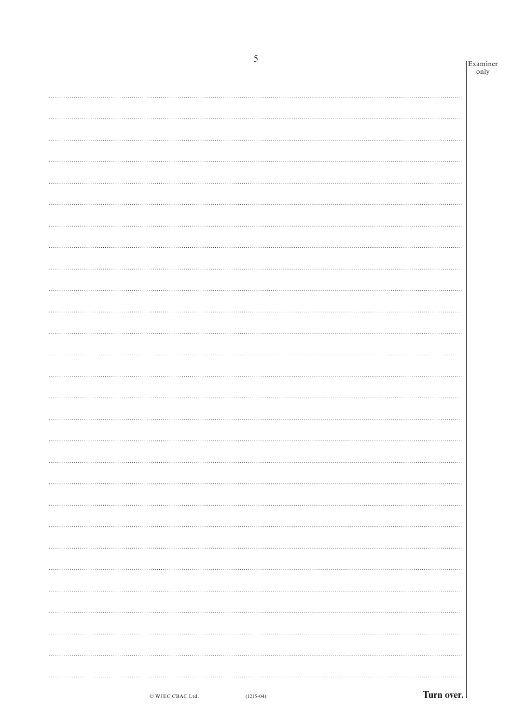#### 5 Examiner only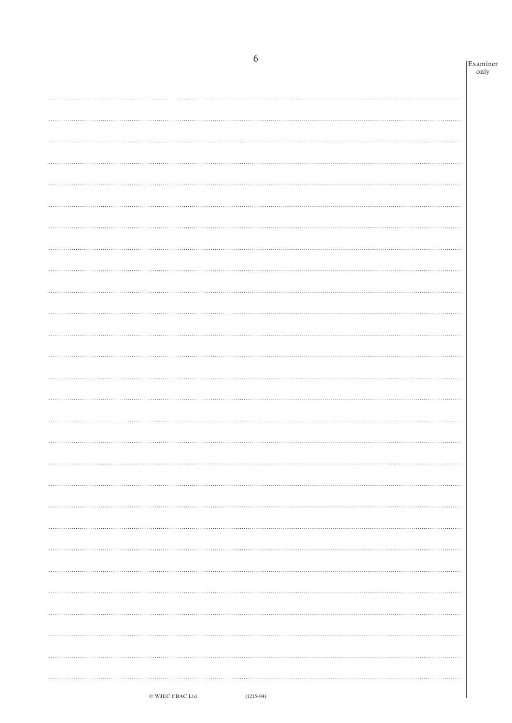| Examiner |
|----------|
| only     |
|          |

|                        |             | $\cdots$ |
|------------------------|-------------|----------|
|                        |             |          |
|                        |             | $\cdots$ |
|                        |             | .        |
|                        |             |          |
|                        |             |          |
|                        |             |          |
| $\odot$ WJEC CBAC Ltd. | $(1215-04)$ |          |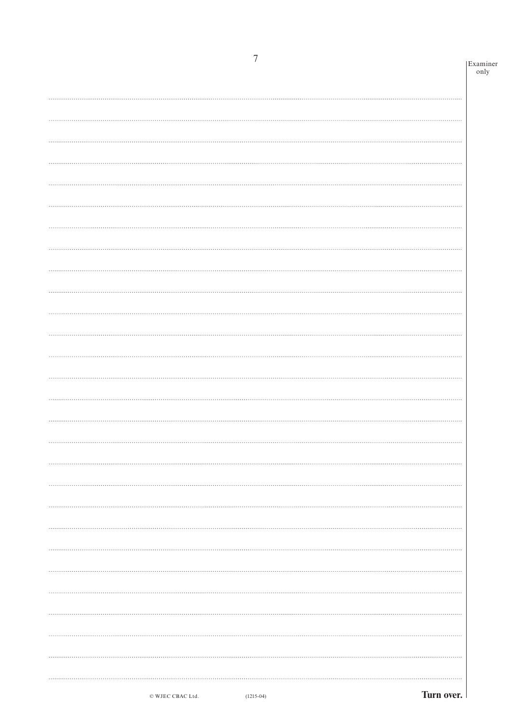#### Examiner only

7

|                        |             | .          |
|------------------------|-------------|------------|
|                        |             |            |
|                        |             |            |
|                        |             |            |
|                        |             |            |
|                        |             |            |
|                        |             |            |
|                        |             |            |
|                        |             |            |
|                        |             |            |
|                        |             |            |
|                        |             |            |
|                        |             |            |
|                        |             |            |
|                        |             |            |
|                        |             |            |
|                        |             |            |
|                        |             |            |
|                        |             | .          |
|                        |             |            |
|                        |             |            |
|                        |             |            |
|                        |             |            |
|                        |             |            |
|                        |             |            |
|                        |             |            |
|                        |             |            |
| $\odot$ WJEC CBAC Ltd. | $(1215-04)$ | Turn over. |